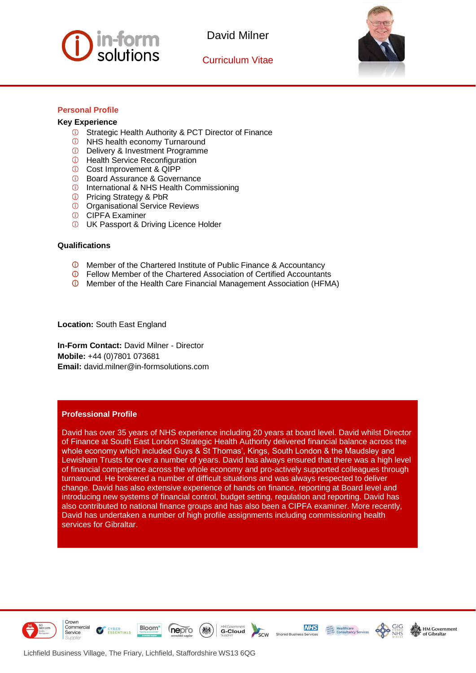

Curriculum Vitae



j

# **Personal Profile**

## **Key Experience**

- **C** Strategic Health Authority & PCT Director of Finance
- *O* NHS health economy Turnaround
- **D** Delivery & Investment Programme
- *O* Health Service Reconfiguration
- Cost Improvement & QIPP
- *C* Board Assurance & Governance
- **1** International & NHS Health Commissioning
- *O* Pricing Strategy & PbR
- *O* Organisational Service Reviews
- **CIPFA Examiner**
- **UK Passport & Driving Licence Holder**

#### **Qualifications**

- Member of the Chartered Institute of Public Finance & Accountancy
- **C** Fellow Member of the Chartered Association of Certified Accountants
- Member of the Health Care Financial Management Association (HFMA)

**Location:** South East England

**In-Form Contact:** David Milner - Director **Mobile:** +44 (0)7801 073681 **Email:** david.milner@in-formsolutions.com

#### **Professional Profile**

David has over 35 years of NHS experience including 20 years at board level. David whilst Director of Finance at South East London Strategic Health Authority delivered financial balance across the whole economy which included Guys & St Thomas', Kings, South London & the Maudsley and Lewisham Trusts for over a number of years. David has always ensured that there was a high level of financial competence across the whole economy and pro-actively supported colleagues through turnaround. He brokered a number of difficult situations and was always respected to deliver change. David has also extensive experience of hands on finance, reporting at Board level and introducing new systems of financial control, budget setting, regulation and reporting. David has also contributed to national finance groups and has also been a CIPFA examiner. More recently, David has undertaken a number of high profile assignments including commissioning health services for Gibraltar.



Crown Commercial

Service





**NHS** 



CYBER<br>ESSENTIALS

 $\sqrt{}$ 

Bloom<sup>\*</sup>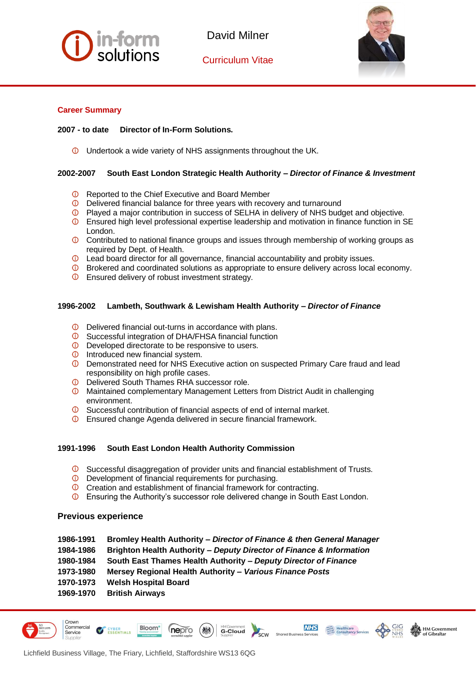

Curriculum Vitae



j

## **Career Summary**

## **2007 - to date Director of In-Form Solutions.**

Undertook a wide variety of NHS assignments throughout the UK.

## **2002-2007 South East London Strategic Health Authority –** *Director of Finance & Investment*

- **C** Reported to the Chief Executive and Board Member
- Delivered financial balance for three years with recovery and turnaround
- **D** Played a major contribution in success of SELHA in delivery of NHS budget and objective.
- Ensured high level professional expertise leadership and motivation in finance function in SE London.
- **C** Contributed to national finance groups and issues through membership of working groups as required by Dept. of Health.
- **C** Lead board director for all governance, financial accountability and probity issues.
- Brokered and coordinated solutions as appropriate to ensure delivery across local economy.
- **<sup>1</sup>** Ensured delivery of robust investment strategy.

## **1996-2002 Lambeth, Southwark & Lewisham Health Authority –** *Director of Finance*

- $\circledcirc$ Delivered financial out-turns in accordance with plans.
- $\odot$ Successful integration of DHA/FHSA financial function
- **D** Developed directorate to be responsive to users.
- $\Phi$  Introduced new financial system.
- Demonstrated need for NHS Executive action on suspected Primary Care fraud and lead responsibility on high profile cases.
- **D** Delivered South Thames RHA successor role.
- Maintained complementary Management Letters from District Audit in challenging environment.
- **O** Successful contribution of financial aspects of end of internal market.
- Ensured change Agenda delivered in secure financial framework.

## **1991-1996 South East London Health Authority Commission**

- Successful disaggregation of provider units and financial establishment of Trusts.
- **D** Development of financial requirements for purchasing.
- **C** Creation and establishment of financial framework for contracting.
- Ensuring the Authority's successor role delivered change in South East London.

## **Previous experience**

**1986-1991 Bromley Health Authority –** *Director of Finance & then General Manager*

**G-Cloud** 

**NHS** 

**HM Government** 

of Gibraltar

- **1984-1986 Brighton Health Authority** *– Deputy Director of Finance & Information*
- **1980-1984 South East Thames Health Authority** *– Deputy Director of Finance*
- **1973-1980 Mersey Regional Health Authority –** *Various Finance Posts*

nepro

- **1970-1973 Welsh Hospital Board**
- **1969-1970 British Airways**

CYBER<br>ESSENTIALS



Crown Commercial

Service

**Bloom**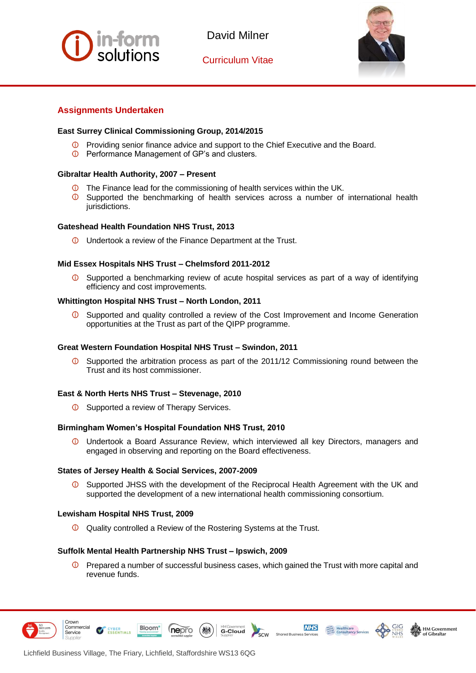

Curriculum Vitae



j

# **Assignments Undertaken**

## **East Surrey Clinical Commissioning Group, 2014/2015**

- **D** Providing senior finance advice and support to the Chief Executive and the Board.
- Performance Management of GP's and clusters.

## **Gibraltar Health Authority, 2007 – Present**

- **The Finance lead for the commissioning of health services within the UK.**
- Supported the benchmarking of health services across a number of international health  $\circ$ jurisdictions.

## **Gateshead Health Foundation NHS Trust, 2013**

Undertook a review of the Finance Department at the Trust.

## **Mid Essex Hospitals NHS Trust – Chelmsford 2011-2012**

Supported a benchmarking review of acute hospital services as part of a way of identifying efficiency and cost improvements.

## **Whittington Hospital NHS Trust – North London, 2011**

Supported and quality controlled a review of the Cost Improvement and Income Generation opportunities at the Trust as part of the QIPP programme.

#### **Great Western Foundation Hospital NHS Trust – Swindon, 2011**

 $\circ$ Supported the arbitration process as part of the 2011/12 Commissioning round between the Trust and its host commissioner.

#### **East & North Herts NHS Trust – Stevenage, 2010**

*O* Supported a review of Therapy Services.

#### **Birmingham Women's Hospital Foundation NHS Trust, 2010**

Undertook a Board Assurance Review, which interviewed all key Directors, managers and engaged in observing and reporting on the Board effectiveness.

#### **States of Jersey Health & Social Services, 2007-2009**

 $\bigcirc$ Supported JHSS with the development of the Reciprocal Health Agreement with the UK and supported the development of a new international health commissioning consortium.

#### **Lewisham Hospital NHS Trust, 2009**

Quality controlled a Review of the Rostering Systems at the Trust.

#### **Suffolk Mental Health Partnership NHS Trust – Ipswich, 2009**

nepro

 $\bullet$  Prepared a number of successful business cases, which gained the Trust with more capital and revenue funds.

scw

**G-Cloud** 

**NHS** 

**HM Government** 

of Gibraltar



Crown Commercial

Service

CYBER<br>ESSENTIALS

**Bloom**